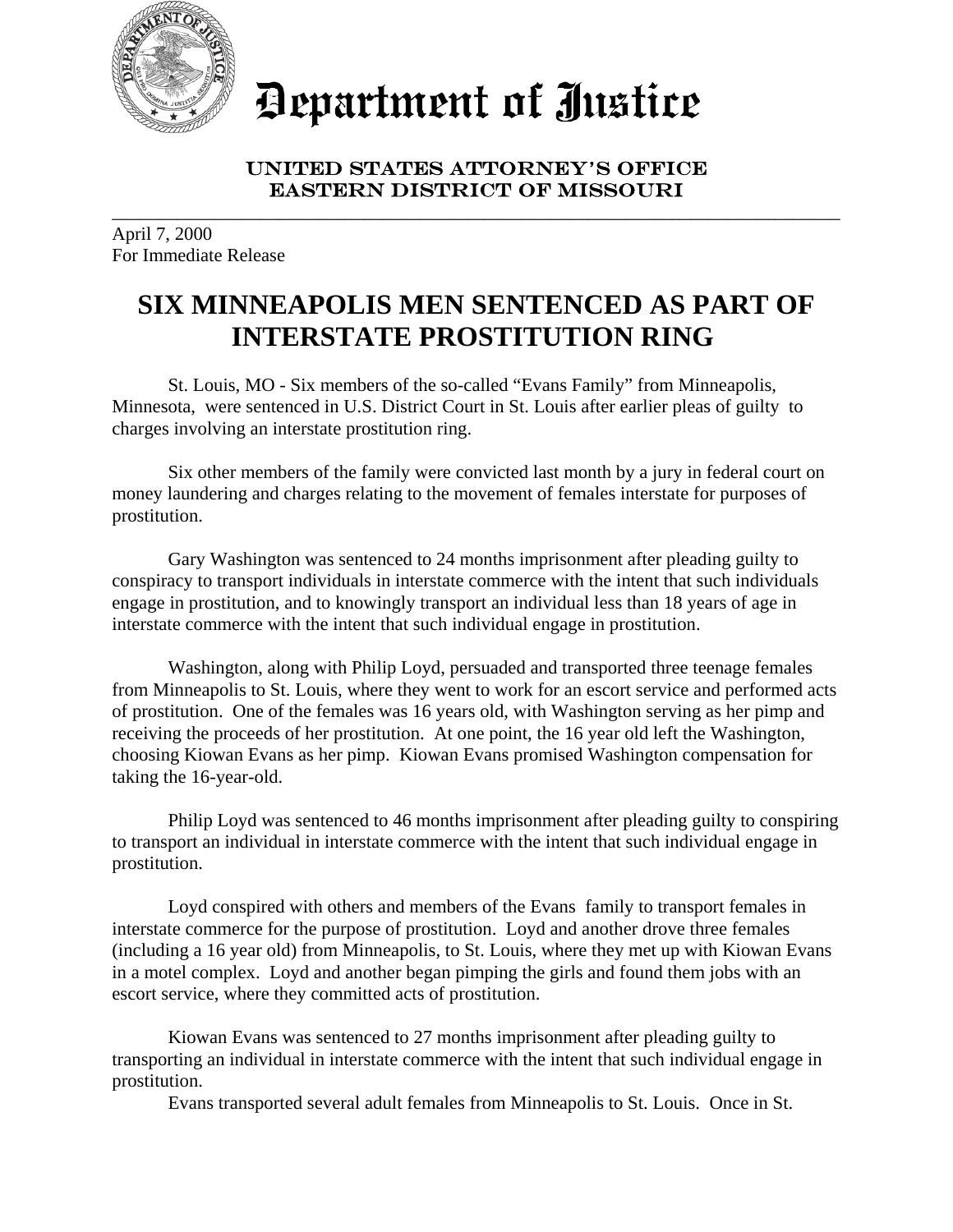

Department of Justice

## UNITED STATES ATTORNEY'S OFFICE EASTERN DISTRICT OF MISSOURI

\_\_\_\_\_\_\_\_\_\_\_\_\_\_\_\_\_\_\_\_\_\_\_\_\_\_\_\_\_\_\_\_\_\_\_\_\_\_\_\_\_\_\_\_\_\_\_\_\_\_\_\_\_\_\_\_\_\_\_\_\_\_\_\_\_\_\_\_\_\_\_\_\_\_\_\_\_\_

April 7, 2000 For Immediate Release

## **SIX MINNEAPOLIS MEN SENTENCED AS PART OF INTERSTATE PROSTITUTION RING**

St. Louis, MO - Six members of the so-called "Evans Family" from Minneapolis, Minnesota, were sentenced in U.S. District Court in St. Louis after earlier pleas of guilty to charges involving an interstate prostitution ring.

Six other members of the family were convicted last month by a jury in federal court on money laundering and charges relating to the movement of females interstate for purposes of prostitution.

Gary Washington was sentenced to 24 months imprisonment after pleading guilty to conspiracy to transport individuals in interstate commerce with the intent that such individuals engage in prostitution, and to knowingly transport an individual less than 18 years of age in interstate commerce with the intent that such individual engage in prostitution.

Washington, along with Philip Loyd, persuaded and transported three teenage females from Minneapolis to St. Louis, where they went to work for an escort service and performed acts of prostitution. One of the females was 16 years old, with Washington serving as her pimp and receiving the proceeds of her prostitution. At one point, the 16 year old left the Washington, choosing Kiowan Evans as her pimp. Kiowan Evans promised Washington compensation for taking the 16-year-old.

Philip Loyd was sentenced to 46 months imprisonment after pleading guilty to conspiring to transport an individual in interstate commerce with the intent that such individual engage in prostitution.

Loyd conspired with others and members of the Evans family to transport females in interstate commerce for the purpose of prostitution. Loyd and another drove three females (including a 16 year old) from Minneapolis, to St. Louis, where they met up with Kiowan Evans in a motel complex. Loyd and another began pimping the girls and found them jobs with an escort service, where they committed acts of prostitution.

Kiowan Evans was sentenced to 27 months imprisonment after pleading guilty to transporting an individual in interstate commerce with the intent that such individual engage in prostitution.

Evans transported several adult females from Minneapolis to St. Louis. Once in St.